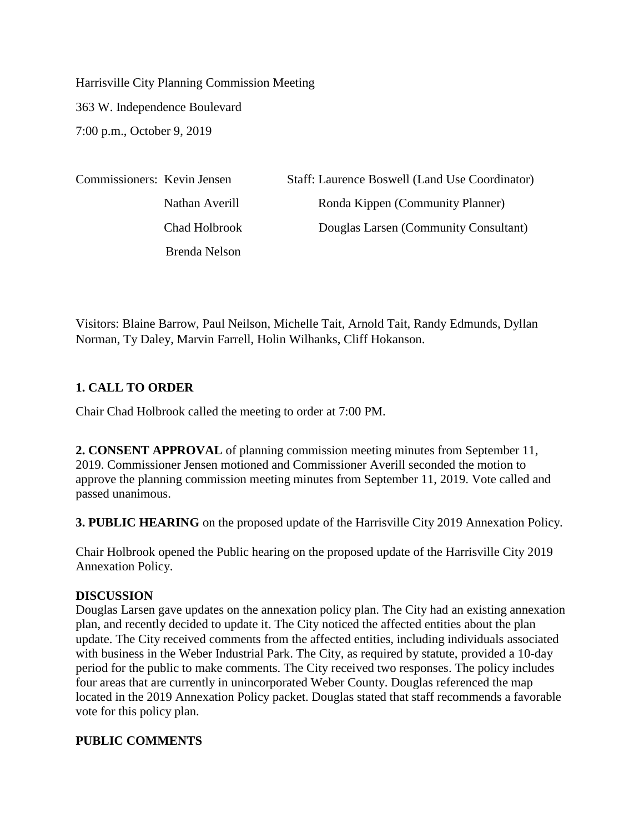Harrisville City Planning Commission Meeting 363 W. Independence Boulevard 7:00 p.m., October 9, 2019

| Commissioners: Kevin Jensen |                | Staff: Laurence Boswell (Land Use Coordinator) |
|-----------------------------|----------------|------------------------------------------------|
|                             | Nathan Averill | Ronda Kippen (Community Planner)               |
|                             | Chad Holbrook  | Douglas Larsen (Community Consultant)          |
|                             | Brenda Nelson  |                                                |

Visitors: Blaine Barrow, Paul Neilson, Michelle Tait, Arnold Tait, Randy Edmunds, Dyllan Norman, Ty Daley, Marvin Farrell, Holin Wilhanks, Cliff Hokanson.

# **1. CALL TO ORDER**

Chair Chad Holbrook called the meeting to order at 7:00 PM.

**2. CONSENT APPROVAL** of planning commission meeting minutes from September 11, 2019. Commissioner Jensen motioned and Commissioner Averill seconded the motion to approve the planning commission meeting minutes from September 11, 2019. Vote called and passed unanimous.

**3. PUBLIC HEARING** on the proposed update of the Harrisville City 2019 Annexation Policy.

Chair Holbrook opened the Public hearing on the proposed update of the Harrisville City 2019 Annexation Policy.

## **DISCUSSION**

Douglas Larsen gave updates on the annexation policy plan. The City had an existing annexation plan, and recently decided to update it. The City noticed the affected entities about the plan update. The City received comments from the affected entities, including individuals associated with business in the Weber Industrial Park. The City, as required by statute, provided a 10-day period for the public to make comments. The City received two responses. The policy includes four areas that are currently in unincorporated Weber County. Douglas referenced the map located in the 2019 Annexation Policy packet. Douglas stated that staff recommends a favorable vote for this policy plan.

## **PUBLIC COMMENTS**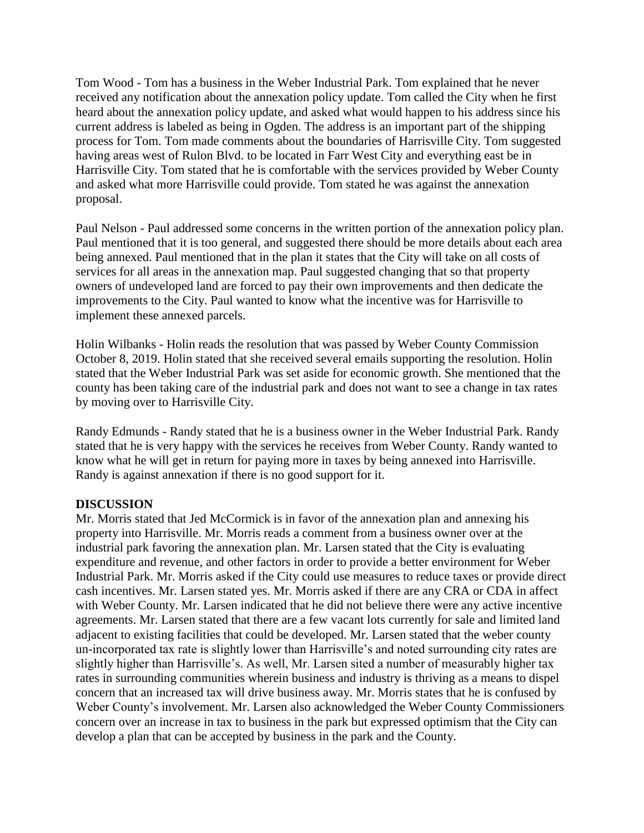Tom Wood - Tom has a business in the Weber Industrial Park. Tom explained that he never received any notification about the annexation policy update. Tom called the City when he first heard about the annexation policy update, and asked what would happen to his address since his current address is labeled as being in Ogden. The address is an important part of the shipping process for Tom. Tom made comments about the boundaries of Harrisville City. Tom suggested having areas west of Rulon Blvd. to be located in Farr West City and everything east be in Harrisville City. Tom stated that he is comfortable with the services provided by Weber County and asked what more Harrisville could provide. Tom stated he was against the annexation proposal.

Paul Nelson - Paul addressed some concerns in the written portion of the annexation policy plan. Paul mentioned that it is too general, and suggested there should be more details about each area being annexed. Paul mentioned that in the plan it states that the City will take on all costs of services for all areas in the annexation map. Paul suggested changing that so that property owners of undeveloped land are forced to pay their own improvements and then dedicate the improvements to the City. Paul wanted to know what the incentive was for Harrisville to implement these annexed parcels.

Holin Wilbanks - Holin reads the resolution that was passed by Weber County Commission October 8, 2019. Holin stated that she received several emails supporting the resolution. Holin stated that the Weber Industrial Park was set aside for economic growth. She mentioned that the county has been taking care of the industrial park and does not want to see a change in tax rates by moving over to Harrisville City.

Randy Edmunds - Randy stated that he is a business owner in the Weber Industrial Park. Randy stated that he is very happy with the services he receives from Weber County. Randy wanted to know what he will get in return for paying more in taxes by being annexed into Harrisville. Randy is against annexation if there is no good support for it.

#### **DISCUSSION**

Mr. Morris stated that Jed McCormick is in favor of the annexation plan and annexing his property into Harrisville. Mr. Morris reads a comment from a business owner over at the industrial park favoring the annexation plan. Mr. Larsen stated that the City is evaluating expenditure and revenue, and other factors in order to provide a better environment for Weber Industrial Park. Mr. Morris asked if the City could use measures to reduce taxes or provide direct cash incentives. Mr. Larsen stated yes. Mr. Morris asked if there are any CRA or CDA in affect with Weber County. Mr. Larsen indicated that he did not believe there were any active incentive agreements. Mr. Larsen stated that there are a few vacant lots currently for sale and limited land adjacent to existing facilities that could be developed. Mr. Larsen stated that the weber county un-incorporated tax rate is slightly lower than Harrisville's and noted surrounding city rates are slightly higher than Harrisville's. As well, Mr. Larsen sited a number of measurably higher tax rates in surrounding communities wherein business and industry is thriving as a means to dispel concern that an increased tax will drive business away. Mr. Morris states that he is confused by Weber County's involvement. Mr. Larsen also acknowledged the Weber County Commissioners concern over an increase in tax to business in the park but expressed optimism that the City can develop a plan that can be accepted by business in the park and the County.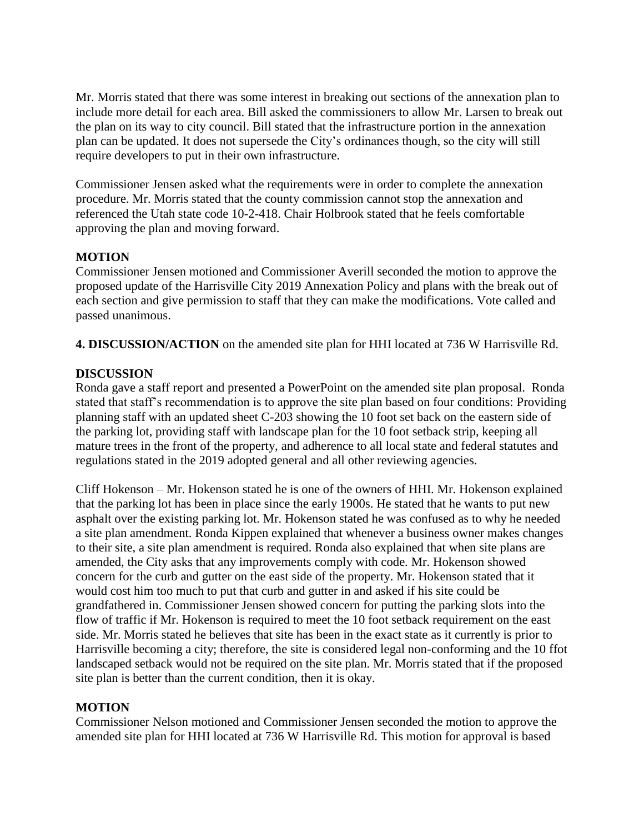Mr. Morris stated that there was some interest in breaking out sections of the annexation plan to include more detail for each area. Bill asked the commissioners to allow Mr. Larsen to break out the plan on its way to city council. Bill stated that the infrastructure portion in the annexation plan can be updated. It does not supersede the City's ordinances though, so the city will still require developers to put in their own infrastructure.

Commissioner Jensen asked what the requirements were in order to complete the annexation procedure. Mr. Morris stated that the county commission cannot stop the annexation and referenced the Utah state code 10-2-418. Chair Holbrook stated that he feels comfortable approving the plan and moving forward.

## **MOTION**

Commissioner Jensen motioned and Commissioner Averill seconded the motion to approve the proposed update of the Harrisville City 2019 Annexation Policy and plans with the break out of each section and give permission to staff that they can make the modifications. Vote called and passed unanimous.

**4. DISCUSSION/ACTION** on the amended site plan for HHI located at 736 W Harrisville Rd.

## **DISCUSSION**

Ronda gave a staff report and presented a PowerPoint on the amended site plan proposal. Ronda stated that staff's recommendation is to approve the site plan based on four conditions: Providing planning staff with an updated sheet C-203 showing the 10 foot set back on the eastern side of the parking lot, providing staff with landscape plan for the 10 foot setback strip, keeping all mature trees in the front of the property, and adherence to all local state and federal statutes and regulations stated in the 2019 adopted general and all other reviewing agencies.

Cliff Hokenson – Mr. Hokenson stated he is one of the owners of HHI. Mr. Hokenson explained that the parking lot has been in place since the early 1900s. He stated that he wants to put new asphalt over the existing parking lot. Mr. Hokenson stated he was confused as to why he needed a site plan amendment. Ronda Kippen explained that whenever a business owner makes changes to their site, a site plan amendment is required. Ronda also explained that when site plans are amended, the City asks that any improvements comply with code. Mr. Hokenson showed concern for the curb and gutter on the east side of the property. Mr. Hokenson stated that it would cost him too much to put that curb and gutter in and asked if his site could be grandfathered in. Commissioner Jensen showed concern for putting the parking slots into the flow of traffic if Mr. Hokenson is required to meet the 10 foot setback requirement on the east side. Mr. Morris stated he believes that site has been in the exact state as it currently is prior to Harrisville becoming a city; therefore, the site is considered legal non-conforming and the 10 ffot landscaped setback would not be required on the site plan. Mr. Morris stated that if the proposed site plan is better than the current condition, then it is okay.

## **MOTION**

Commissioner Nelson motioned and Commissioner Jensen seconded the motion to approve the amended site plan for HHI located at 736 W Harrisville Rd. This motion for approval is based